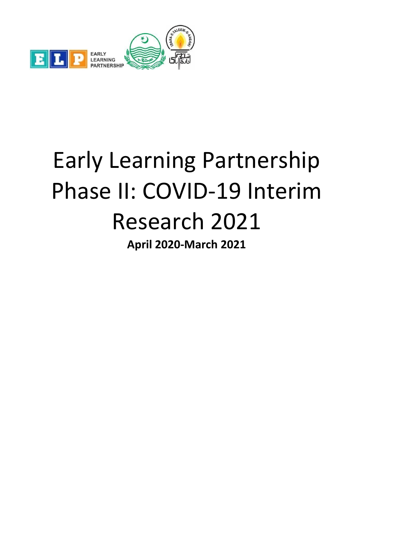

# Early Learning Partnership Phase II: COVID-19 Interim Research 2021 **April 2020-March 2021**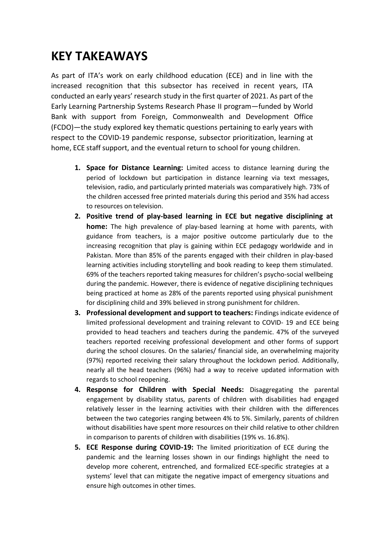## **KEY TAKEAWAYS**

As part of ITA's work on early childhood education (ECE) and in line with the increased recognition that this subsector has received in recent years, ITA conducted an early years' research study in the first quarter of 2021. As part of the Early Learning Partnership Systems Research Phase II program—funded by World Bank with support from Foreign, Commonwealth and Development Office (FCDO)—the study explored key thematic questions pertaining to early years with respect to the COVID-19 pandemic response, subsector prioritization, learning at home, ECE staff support, and the eventual return to school for young children.

- **1. Space for Distance Learning:** Limited access to distance learning during the period of lockdown but participation in distance learning via text messages, television, radio, and particularly printed materials was comparatively high. 73% of the children accessed free printed materials during this period and 35% had access to resources on television.
- **2. Positive trend of play-based learning in ECE but negative disciplining at home:** The high prevalence of play-based learning at home with parents, with guidance from teachers, is a major positive outcome particularly due to the increasing recognition that play is gaining within ECE pedagogy worldwide and in Pakistan. More than 85% of the parents engaged with their children in play-based learning activities including storytelling and book reading to keep them stimulated. 69% of the teachers reported taking measures for children's psycho-social wellbeing during the pandemic. However, there is evidence of negative disciplining techniques being practiced at home as 28% of the parents reported using physical punishment for disciplining child and 39% believed in strong punishment for children.
- **3. Professional development and support to teachers:** Findings indicate evidence of limited professional development and training relevant to COVID- 19 and ECE being provided to head teachers and teachers during the pandemic. 47% of the surveyed teachers reported receiving professional development and other forms of support during the school closures. On the salaries/ financial side, an overwhelming majority (97%) reported receiving their salary throughout the lockdown period. Additionally, nearly all the head teachers (96%) had a way to receive updated information with regards to school reopening.
- **4. Response for Children with Special Needs:** Disaggregating the parental engagement by disability status, parents of children with disabilities had engaged relatively lesser in the learning activities with their children with the differences between the two categories ranging between 4% to 5%. Similarly, parents of children without disabilities have spent more resources on their child relative to other children in comparison to parents of children with disabilities (19% vs. 16.8%).
- **5. ECE Response during COVID-19:** The limited prioritization of ECE during the pandemic and the learning losses shown in our findings highlight the need to develop more coherent, entrenched, and formalized ECE-specific strategies at a systems' level that can mitigate the negative impact of emergency situations and ensure high outcomes in other times.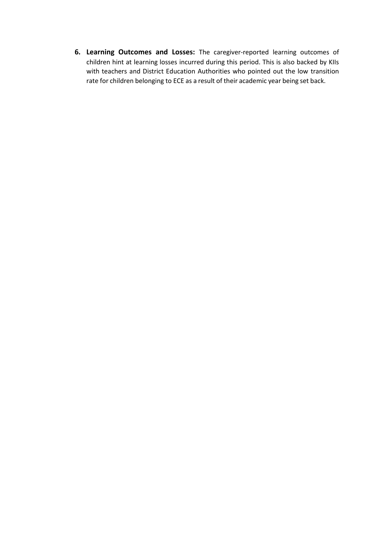**6. Learning Outcomes and Losses:** The caregiver-reported learning outcomes of children hint at learning losses incurred during this period. This is also backed by KIIs with teachers and District Education Authorities who pointed out the low transition rate for children belonging to ECE as a result of their academic year being set back.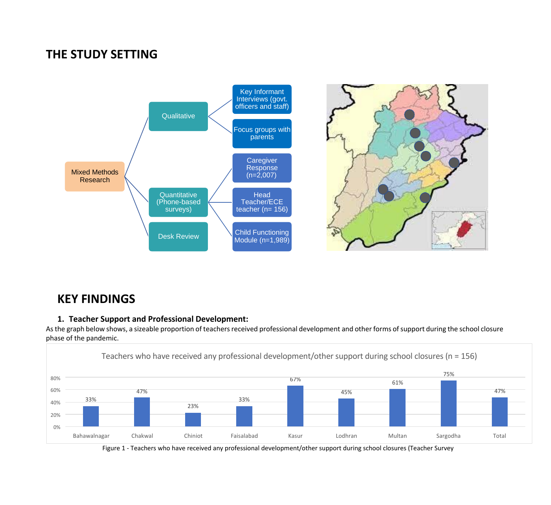## **THE STUDY SETTING**



## **KEY FINDINGS**

#### **1. Teacher Support and Professional Development:**

As the graph below shows, a sizeable proportion of teachers received professional development and other forms of support during the school closure phase of the pandemic.



Figure 1 - Teachers who have received any professional development/other support during school closures (Teacher Survey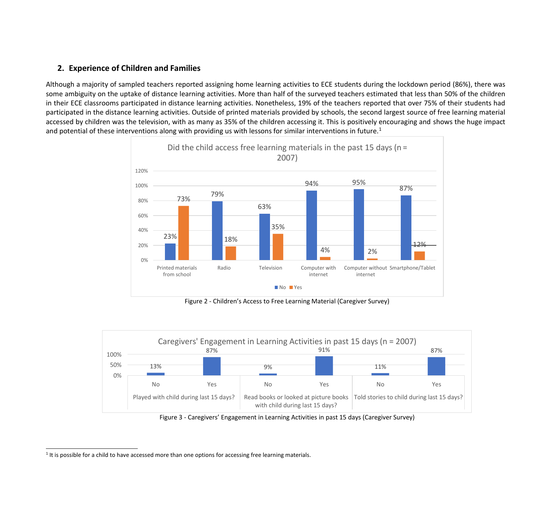#### **2. Experience of Children and Families**

Although a majority of sampled teachers reported assigning home learning activities to ECE students during the lockdown period (86%), there was some ambiguity on the uptake of distance learning activities. More than half of the surveyed teachers estimated that less than 50% of the children in their ECE classrooms participated in distance learning activities. Nonetheless, 19% of the teachers reported that over 75% of their students had participated in the distance learning activities. Outside of printed materials provided by schools, the second largest source of free learning material accessed by children was the television, with as many as 35% of the children accessing it. This is positively encouraging and shows the huge impact and potential of these interventions along with providing us with lessons for similar interventions in future.<sup>1</sup>



Figure 2 - Children's Access to Free Learning Material (Caregiver Survey)



Figure 3 - Caregivers' Engagement in Learning Activities in past 15 days (Caregiver Survey)

<sup>&</sup>lt;sup>1</sup> It is possible for a child to have accessed more than one options for accessing free learning materials.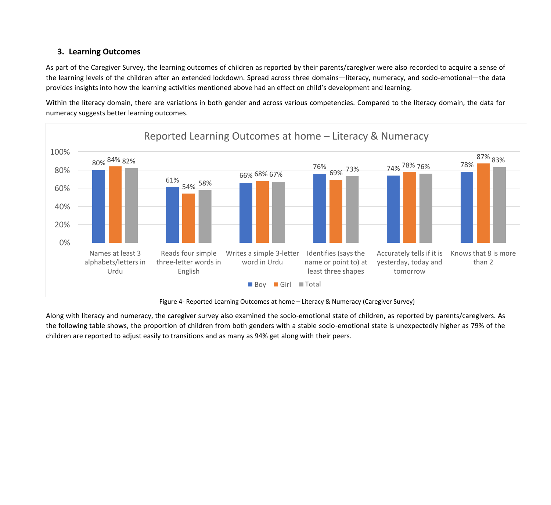#### **3. Learning Outcomes**

As part of the Caregiver Survey, the learning outcomes of children as reported by their parents/caregiver were also recorded to acquire a sense of the learning levels of the children after an extended lockdown. Spread across three domains—literacy, numeracy, and socio-emotional—the data provides insights into how the learning activities mentioned above had an effect on child's development and learning.

Within the literacy domain, there are variations in both gender and across various competencies. Compared to the literacy domain, the data for numeracy suggests better learning outcomes.



Figure 4- Reported Learning Outcomes at home – Literacy & Numeracy (Caregiver Survey)

Along with literacy and numeracy, the caregiver survey also examined the socio-emotional state of children, as reported by parents/caregivers. As the following table shows, the proportion of children from both genders with a stable socio-emotional state is unexpectedly higher as 79% of the children are reported to adjust easily to transitions and as many as 94% get along with their peers.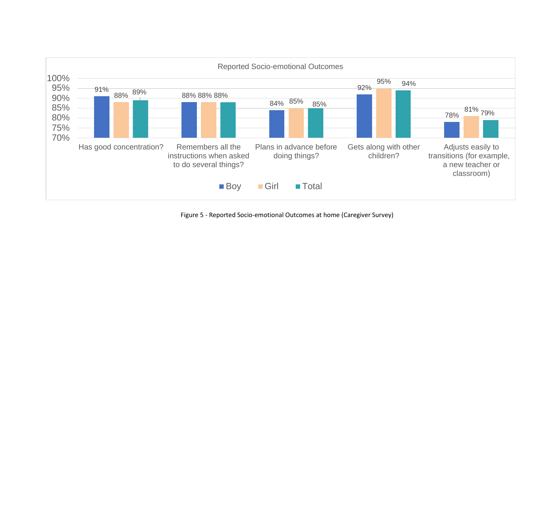

Figure 5 - Reported Socio-emotional Outcomes at home (Caregiver Survey)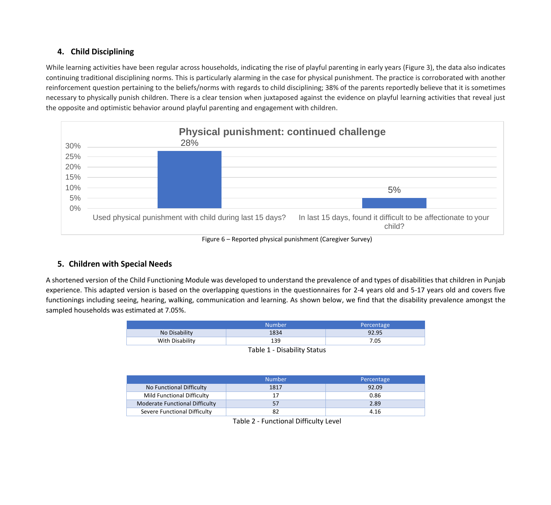#### **4. Child Disciplining**

While learning activities have been regular across households, indicating the rise of playful parenting in early years (Figure 3), the data also indicates continuing traditional disciplining norms. This is particularly alarming in the case for physical punishment. The practice is corroborated with another reinforcement question pertaining to the beliefs/norms with regards to child disciplining; 38% of the parents reportedly believe that it is sometimes necessary to physically punish children. There is a clear tension when juxtaposed against the evidence on playful learning activities that reveal just the opposite and optimistic behavior around playful parenting and engagement with children.



Figure 6 – Reported physical punishment (Caregiver Survey)

#### **5. Children with Special Needs**

A shortened version of the Child Functioning Module was developed to understand the prevalence of and types of disabilities that children in Punjab experience. This adapted version is based on the overlapping questions in the questionnaires for 2-4 years old and 5-17 years old and covers five functionings including seeing, hearing, walking, communication and learning. As shown below, we find that the disability prevalence amongst the sampled households was estimated at 7.05%.

|                             | <b>Number</b> | Percentage |  |
|-----------------------------|---------------|------------|--|
| No Disability               | 1834          | 92.95      |  |
| With Disability             | 139           | 7.05       |  |
| Table 1 - Disability Status |               |            |  |

|                                   | <b>Number</b> | Percentage |
|-----------------------------------|---------------|------------|
| No Functional Difficulty          | 1817          | 92.09      |
| <b>Mild Functional Difficulty</b> |               | 0.86       |
| Moderate Functional Difficulty    |               | 2.89       |
| Severe Functional Difficulty      |               | 4.16       |

Table 2 - Functional Difficulty Level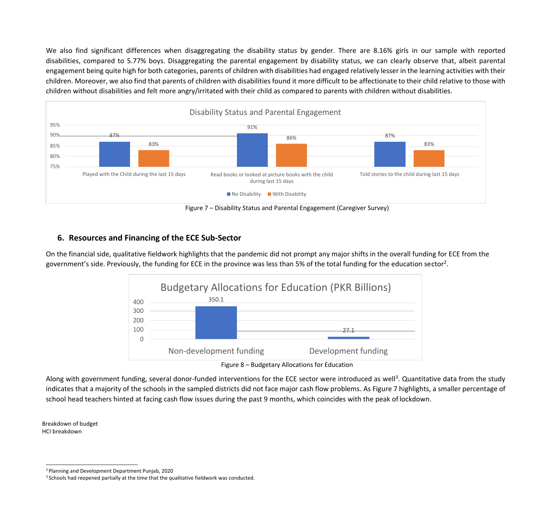We also find significant differences when disaggregating the disability status by gender. There are 8.16% girls in our sample with reported disabilities, compared to 5.77% boys. Disaggregating the parental engagement by disability status, we can clearly observe that, albeit parental engagement being quite high for both categories, parents of children with disabilities had engaged relatively lesser in the learning activities with their children. Moreover, we also find that parents of children with disabilities found it more difficult to be affectionate to their child relative to those with children without disabilities and felt more angry/irritated with their child as compared to parents with children without disabilities.



Figure 7 – Disability Status and Parental Engagement (Caregiver Survey)

#### **6. Resources and Financing of the ECE Sub-Sector**

On the financial side, qualitative fieldwork highlights that the pandemic did not prompt any major shifts in the overall funding for ECE from the government's side. Previously, the funding for ECE in the province was less than 5% of the total funding for the education sector<sup>2</sup>.



Figure 8 – Budgetary Allocations for Education

Along with government funding, several donor-funded interventions for the ECE sector were introduced as well<sup>3</sup>. Quantitative data from the study indicates that a majority of the schools in the sampled districts did not face major cash flow problems. As Figure 7 highlights, a smaller percentage of school head teachers hinted at facing cash flow issues during the past 9 months, which coincides with the peak of lockdown.

Breakdown of budget HCI breakdown

<sup>2</sup>Planning and Development Department Punjab, 2020

<sup>&</sup>lt;sup>3</sup> Schools had reopened partially at the time that the qualitative fieldwork was conducted.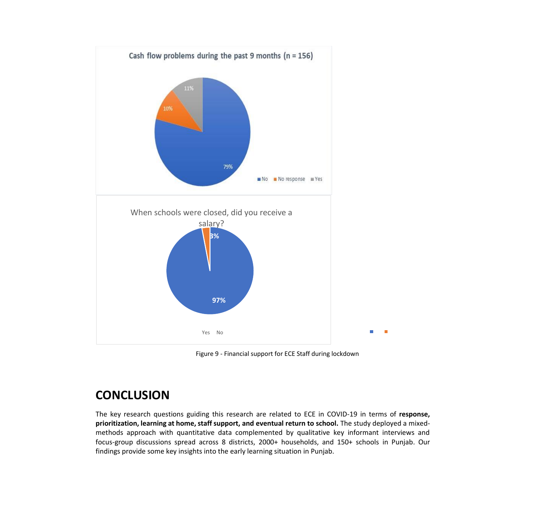

Figure 9 - Financial support for ECE Staff during lockdown

### **CONCLUSION**

The key research questions guiding this research are related to ECE in COVID-19 in terms of **response, prioritization, learning at home, staffsupport, and eventual return to school.** The study deployed a mixedmethods approach with quantitative data complemented by qualitative key informant interviews and focus-group discussions spread across 8 districts, 2000+ households, and 150+ schools in Punjab. Our findings provide some key insights into the early learning situation in Punjab.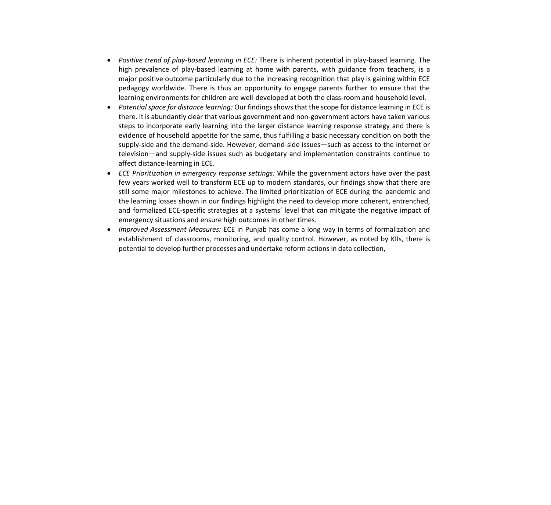- *Positive trend of play-based learning in ECE:* There is inherent potential in play-based learning. The high prevalence of play-based learning at home with parents, with guidance from teachers, is a major positive outcome particularly due to the increasing recognition that play is gaining within ECE pedagogy worldwide. There is thus an opportunity to engage parents further to ensure that the learning environments for children are well-developed at both the class-room and household level.
- *Potential space for distance learning:* Our findingsshowsthat the scope for distance learning in ECE is there. It is abundantly clear that various government and non-government actors have taken various steps to incorporate early learning into the larger distance learning response strategy and there is evidence of household appetite for the same, thus fulfilling a basic necessary condition on both the supply-side and the demand-side. However, demand-side issues—such as access to the internet or television—and supply-side issues such as budgetary and implementation constraints continue to affect distance-learning in ECE.
- *ECE Prioritization in emergency response settings:* While the government actors have over the past few years worked well to transform ECE up to modern standards, our findings show that there are still some major milestones to achieve. The limited prioritization of ECE during the pandemic and the learning losses shown in our findings highlight the need to develop more coherent, entrenched, and formalized ECE-specific strategies at a systems' level that can mitigate the negative impact of emergency situations and ensure high outcomes in other times.
- *Improved Assessment Measures:* ECE in Punjab has come a long way in terms of formalization and establishment of classrooms, monitoring, and quality control. However, as noted by KIIs, there is potential to develop further processes and undertake reform actions in data collection,